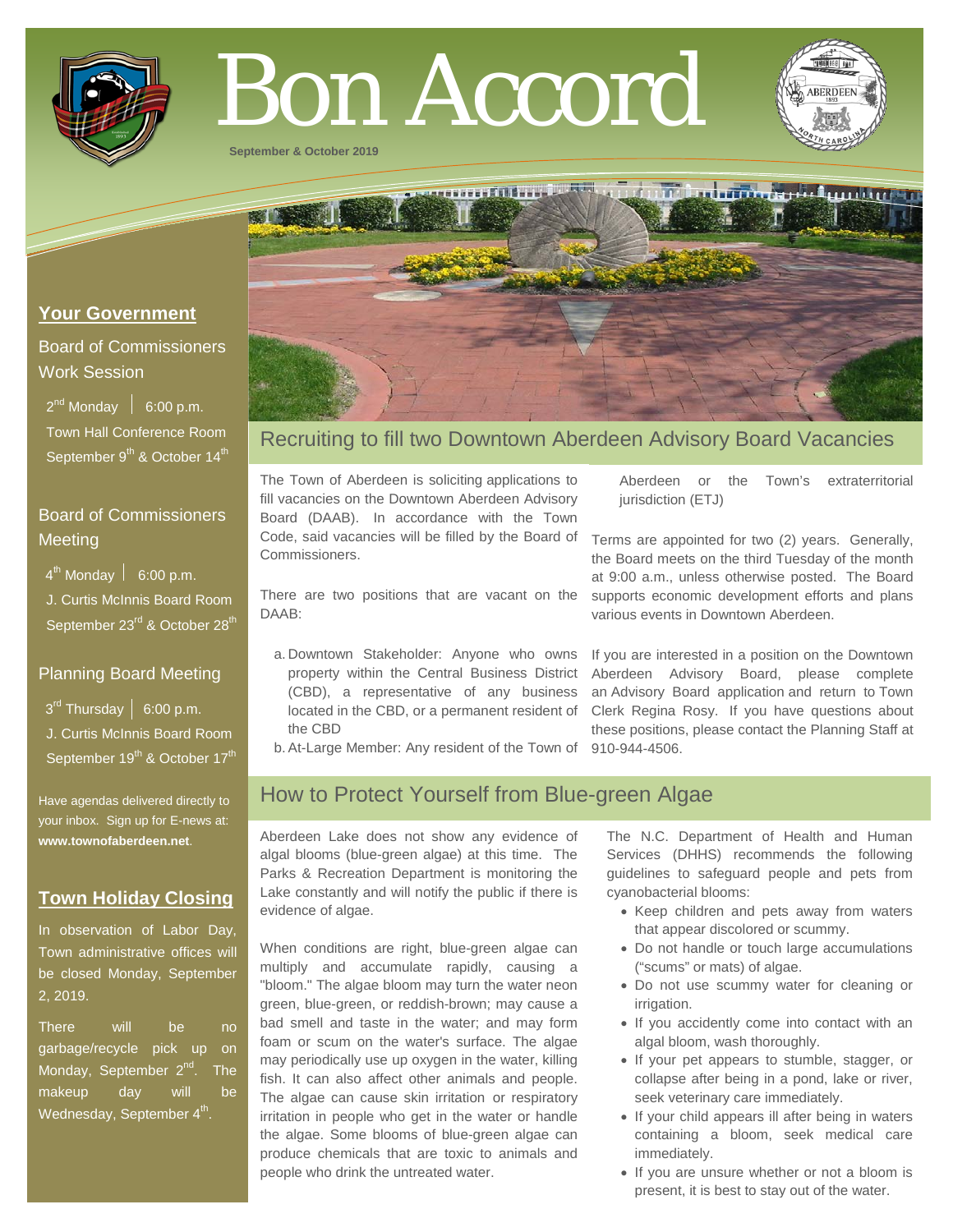

# Bon Accord

**September & October 2019**



## **Your Government**

## Board of Commissioners Work Session

 $2^{nd}$  Monday  $\left| 6:00 \text{ p.m.} \right|$  Town Hall Conference Room September 9<sup>th</sup> & October 14<sup>th</sup>

## Board of Commissioners **Meeting**

 $4^{th}$  Monday  $\vert$  6:00 p.m.

 J. Curtis McInnis Board Room September 23<sup>rd</sup> & October 28<sup>th</sup>

## Planning Board Meeting

 $3^{\text{rd}}$  Thursday | 6:00 p.m. J. Curtis McInnis Board Room September 19<sup>th</sup> & October 17<sup>th</sup>

Have agendas delivered directly to your inbox. Sign up for E-news at: **[www.townofaberdeen.net](http://www.townofaberdeen.net/)**.

# **Town Holiday Closing**

In observation of Labor Day, Town administrative offices will be closed Monday, September 2, 2019.

There will be no garbage/recycle pick up on Monday, September  $2^{nd}$ . The makeup day will be Wednesday, September  $4<sup>th</sup>$ .

# Recruiting to fill two Downtown Aberdeen Advisory Board Vacancies

The Town of Aberdeen is soliciting applications to fill vacancies on the Downtown Aberdeen Advisory Board (DAAB). In accordance with the Town Code, said vacancies will be filled by the Board of Commissioners.

There are two positions that are vacant on the DAAB:

- a. Downtown Stakeholder: Anyone who owns property within the Central Business District (CBD), a representative of any business located in the CBD, or a permanent resident of the CBD
- b.At-Large Member: Any resident of the Town of 910-944-4506.

# supports economic development efforts and plans various events in Downtown Aberdeen. If you are interested in a position on the Downtown

jurisdiction (ETJ)

Aberdeen Advisory Board, please complete an Advisory Board application and return to Town Clerk Regina Rosy. If you have questions about these positions, please contact the Planning Staff at

Aberdeen or the Town's extraterritorial

Terms are appointed for two (2) years. Generally, the Board meets on the third Tuesday of the month at 9:00 a.m., unless otherwise posted. The Board

# How to Protect Yourself from Blue-green Algae

Aberdeen Lake does not show any evidence of algal blooms (blue-green algae) at this time. The Parks & Recreation Department is monitoring the Lake constantly and will notify the public if there is evidence of algae.

When conditions are right, blue-green algae can multiply and accumulate rapidly, causing a "bloom." The algae bloom may turn the water neon green, blue-green, or reddish-brown; may cause a bad smell and taste in the water; and may form foam or scum on the water's surface. The algae may periodically use up oxygen in the water, killing fish. It can also affect other animals and people. The algae can cause skin irritation or respiratory irritation in people who get in the water or handle the algae. Some blooms of blue-green algae can produce chemicals that are toxic to animals and people who drink the untreated water.

The N.C. Department of Health and Human Services (DHHS) recommends the following guidelines to safeguard people and pets from cyanobacterial blooms:

- Keep children and pets away from waters that appear discolored or scummy.
- Do not handle or touch large accumulations ("scums" or mats) of algae.
- Do not use scummy water for cleaning or irrigation.
- If you accidently come into contact with an algal bloom, wash thoroughly.
- If your pet appears to stumble, stagger, or collapse after being in a pond, lake or river, seek veterinary care immediately.
- If your child appears ill after being in waters containing a bloom, seek medical care immediately.
- If you are unsure whether or not a bloom is present, it is best to stay out of the water.